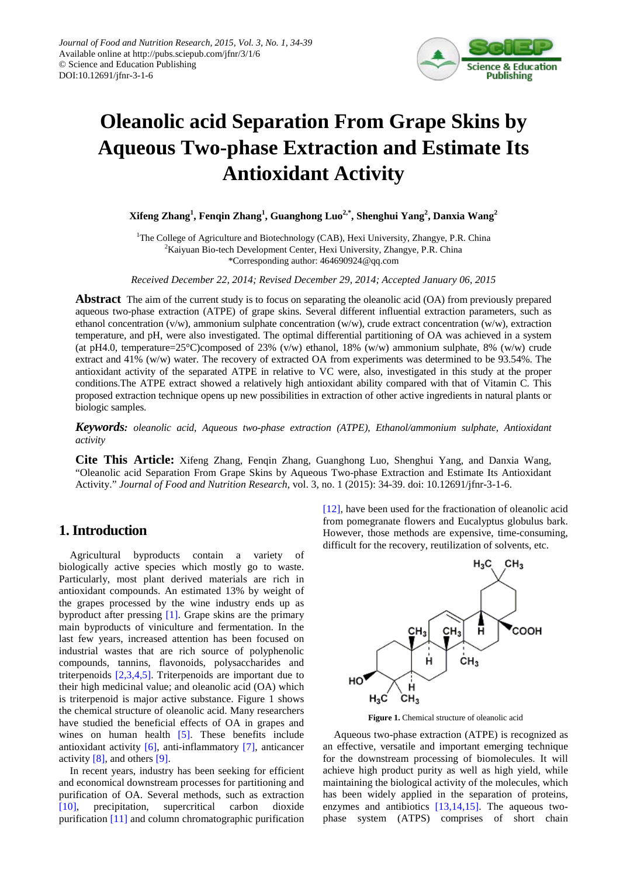

# **Oleanolic acid Separation From Grape Skins by Aqueous Two-phase Extraction and Estimate Its Antioxidant Activity**

**Xifeng Zhang<sup>1</sup> , Fenqin Zhang<sup>1</sup> , Guanghong Luo2,\* , Shenghui Yang<sup>2</sup> , Danxia Wang<sup>2</sup>**

<sup>1</sup>The College of Agriculture and Biotechnology (CAB), Hexi University, Zhangye, P.R. China <sup>2</sup>Kaiyuan Bio-tech Development Center, Hexi University, Zhangye, P.R. China \*Corresponding author: 464690924@qq.com

*Received December 22, 2014; Revised December 29, 2014; Accepted January 06, 2015*

**Abstract** The aim of the current study is to focus on separating the oleanolic acid (OA) from previously prepared aqueous two-phase extraction (ATPE) of grape skins. Several different influential extraction parameters, such as ethanol concentration (v/w), ammonium sulphate concentration (w/w), crude extract concentration (w/w), extraction temperature, and pH, were also investigated. The optimal differential partitioning of OA was achieved in a system (at pH4.0, temperature=25°C)composed of 23% (v/w) ethanol, 18% (w/w) ammonium sulphate, 8% (w/w) crude extract and 41% (w/w) water. The recovery of extracted OA from experiments was determined to be 93.54%. The antioxidant activity of the separated ATPE in relative to VC were, also, investigated in this study at the proper conditions.The ATPE extract showed a relatively high antioxidant ability compared with that of Vitamin C. This proposed extraction technique opens up new possibilities in extraction of other active ingredients in natural plants or biologic samples.

*Keywords: oleanolic acid, Aqueous two-phase extraction (ATPE), Ethanol/ammonium sulphate, Antioxidant activity*

**Cite This Article:** Xifeng Zhang, Fenqin Zhang, Guanghong Luo, Shenghui Yang, and Danxia Wang, "Oleanolic acid Separation From Grape Skins by Aqueous Two-phase Extraction and Estimate Its Antioxidant Activity." *Journal of Food and Nutrition Research*, vol. 3, no. 1 (2015): 34-39. doi: 10.12691/jfnr-3-1-6.

# **1. Introduction**

Agricultural byproducts contain a variety of biologically active species which mostly go to waste. Particularly, most plant derived materials are rich in antioxidant compounds. An estimated 13% by weight of the grapes processed by the wine industry ends up as byproduct after pressing [\[1\].](#page-4-0) Grape skins are the primary main byproducts of viniculture and fermentation. In the last few years, increased attention has been focused on industrial wastes that are rich source of polyphenolic compounds, tannins, flavonoids, polysaccharides and triterpenoids [\[2,3,4,5\].](#page-4-1) Triterpenoids are important due to their high medicinal value; and oleanolic acid (OA) which is triterpenoid is major active substance. Figure 1 shows the chemical structure of oleanolic acid. Many researchers have studied the beneficial effects of OA in grapes and wines on human health [\[5\].](#page-4-2) These benefits include antioxidant activity [\[6\],](#page-4-3) anti-inflammatory [\[7\],](#page-4-4) anticancer activity [\[8\],](#page-4-5) and others [\[9\].](#page-4-6)

In recent years, industry has been seeking for efficient and economical downstream processes for partitioning and purification of OA. Several methods, such as extraction [\[10\],](#page-4-7) precipitation, supercritical carbon dioxide purification [\[11\]](#page-4-8) and column chromatographic purification [\[12\],](#page-4-9) have been used for the fractionation of oleanolic acid from pomegranate flowers and Eucalyptus globulus bark. However, those methods are expensive, time-consuming, difficult for the recovery, reutilization of solvents, etc.



**Figure 1.** Chemical structure of oleanolic acid

Aqueous two-phase extraction (ATPE) is recognized as an effective, versatile and important emerging technique for the downstream processing of biomolecules. It will achieve high product purity as well as high yield, while maintaining the biological activity of the molecules, which has been widely applied in the separation of proteins, enzymes and antibiotics [\[13,14,15\].](#page-4-10) The aqueous twophase system (ATPS) comprises of short chain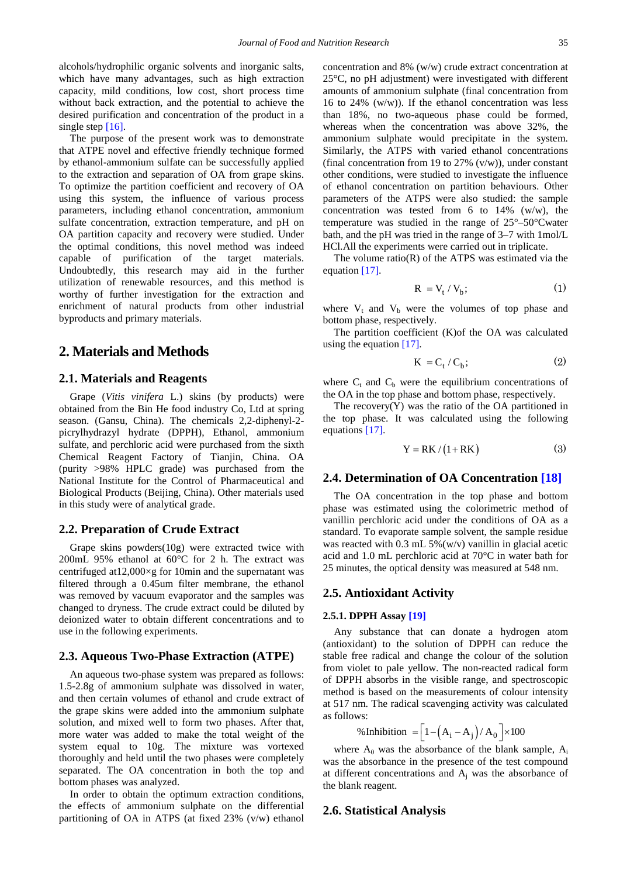alcohols/hydrophilic organic solvents and inorganic salts, which have many advantages, such as high extraction capacity, mild conditions, low cost, short process time without back extraction, and the potential to achieve the desired purification and concentration of the product in a single step [\[16\].](#page-4-11)

The purpose of the present work was to demonstrate that ATPE novel and effective friendly technique formed by ethanol-ammonium sulfate can be successfully applied to the extraction and separation of OA from grape skins. To optimize the partition coefficient and recovery of OA using this system, the influence of various process parameters, including ethanol concentration, ammonium sulfate concentration, extraction temperature, and pH on OA partition capacity and recovery were studied. Under the optimal conditions, this novel method was indeed capable of purification of the target materials. Undoubtedly, this research may aid in the further utilization of renewable resources, and this method is worthy of further investigation for the extraction and enrichment of natural products from other industrial byproducts and primary materials.

### **2. Materials and Methods**

#### **2.1. Materials and Reagents**

Grape (*Vitis vinifera* L.) skins (by products) were obtained from the Bin He food industry Co, Ltd at spring season. (Gansu, China). The chemicals 2,2-diphenyl-2 picrylhydrazyl hydrate (DPPH), Ethanol, ammonium sulfate, and perchloric acid were purchased from the sixth Chemical Reagent Factory of Tianjin, China. OA (purity >98% HPLC grade) was purchased from the National Institute for the Control of Pharmaceutical and Biological Products (Beijing, China). Other materials used in this study were of analytical grade.

#### **2.2. Preparation of Crude Extract**

Grape skins powders(10g) were extracted twice with 200mL 95% ethanol at 60°C for 2 h. The extract was centrifuged at  $12,000 \times g$  for 10min and the supernatant was filtered through a 0.45um filter membrane, the ethanol was removed by vacuum evaporator and the samples was changed to dryness. The crude extract could be diluted by deionized water to obtain different concentrations and to use in the following experiments.

#### **2.3. Aqueous Two-Phase Extraction (ATPE)**

An aqueous two-phase system was prepared as follows: 1.5-2.8g of ammonium sulphate was dissolved in water, and then certain volumes of ethanol and crude extract of the grape skins were added into the ammonium sulphate solution, and mixed well to form two phases. After that, more water was added to make the total weight of the system equal to 10g. The mixture was vortexed thoroughly and held until the two phases were completely separated. The OA concentration in both the top and bottom phases was analyzed.

In order to obtain the optimum extraction conditions, the effects of ammonium sulphate on the differential partitioning of OA in ATPS (at fixed 23% (v/w) ethanol concentration and 8% (w/w) crude extract concentration at 25°C, no pH adjustment) were investigated with different amounts of ammonium sulphate (final concentration from 16 to 24%  $(w/w)$ ). If the ethanol concentration was less than 18%, no two-aqueous phase could be formed, whereas when the concentration was above 32%, the ammonium sulphate would precipitate in the system. Similarly, the ATPS with varied ethanol concentrations (final concentration from 19 to 27%  $(v/w)$ ), under constant other conditions, were studied to investigate the influence of ethanol concentration on partition behaviours. Other parameters of the ATPS were also studied: the sample concentration was tested from 6 to 14% (w/w), the temperature was studied in the range of 25°–50°Cwater bath, and the pH was tried in the range of 3–7 with 1mol/L HCl.All the experiments were carried out in triplicate.

The volume  $ratio(R)$  of the ATPS was estimated via the equation [\[17\].](#page-4-12)

$$
R = V_t / V_b; \qquad (1)
$$

where  $V_t$  and  $V_b$  were the volumes of top phase and bottom phase, respectively.

The partition coefficient (K)of the OA was calculated using the equation [\[17\].](#page-4-12)

$$
K = C_t / C_b; \qquad (2)
$$

where  $C_t$  and  $C_b$  were the equilibrium concentrations of the OA in the top phase and bottom phase, respectively.

The recovery $(Y)$  was the ratio of the OA partitioned in the top phase. It was calculated using the following equations [\[17\].](#page-4-12)

$$
Y = RK / (1 + RK)
$$
 (3)

#### **2.4. Determination of OA Concentration [\[18\]](#page-4-13)**

The OA concentration in the top phase and bottom phase was estimated using the colorimetric method of vanillin perchloric acid under the conditions of OA as a standard. To evaporate sample solvent, the sample residue was reacted with  $0.3$  mL  $5\%$ (w/v) vanillin in glacial acetic acid and 1.0 mL perchloric acid at 70°C in water bath for 25 minutes, the optical density was measured at 548 nm.

#### **2.5. Antioxidant Activity**

#### **2.5.1. DPPH Assay [\[19\]](#page-4-14)**

Any substance that can donate a hydrogen atom (antioxidant) to the solution of DPPH can reduce the stable free radical and change the colour of the solution from violet to pale yellow. The non-reacted radical form of DPPH absorbs in the visible range, and spectroscopic method is based on the measurements of colour intensity at 517 nm. The radical scavenging activity was calculated as follows:

$$
\% Inhibition = \left[1 - \left(A_i - A_j\right)/A_0\right] \times 100
$$

where  $A_0$  was the absorbance of the blank sample,  $A_i$ was the absorbance in the presence of the test compound at different concentrations and  $A_i$  was the absorbance of the blank reagent.

#### **2.6. Statistical Analysis**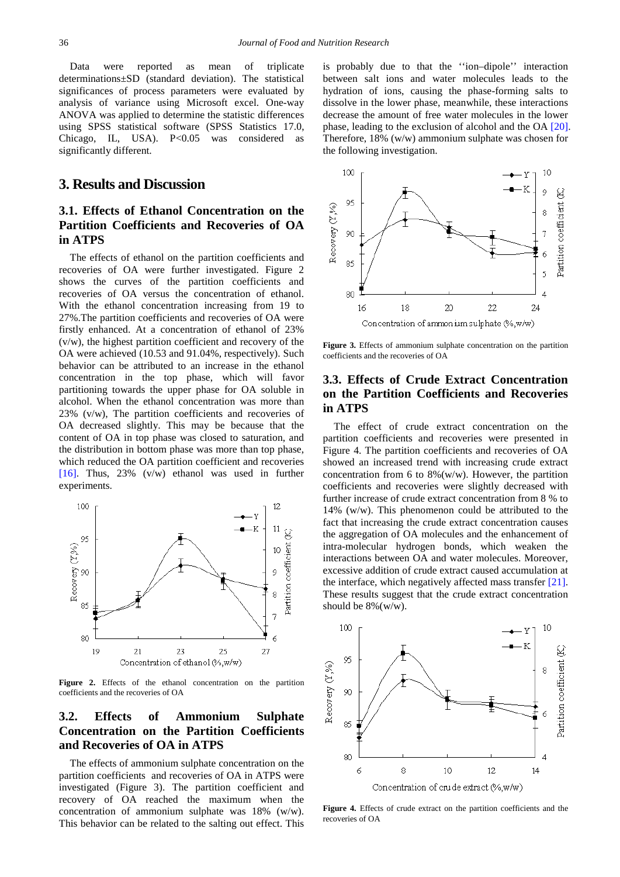Data were reported as mean of triplicate determinations±SD (standard deviation). The statistical significances of process parameters were evaluated by analysis of variance using Microsoft excel. One-way ANOVA was applied to determine the statistic differences using SPSS statistical software (SPSS Statistics 17.0, Chicago, IL, USA). P<0.05 was considered as significantly different.

## **3. Results and Discussion**

# **3.1. Effects of Ethanol Concentration on the Partition Coefficients and Recoveries of OA in ATPS**

The effects of ethanol on the partition coefficients and recoveries of OA were further investigated. Figure 2 shows the curves of the partition coefficients and recoveries of OA versus the concentration of ethanol. With the ethanol concentration increasing from 19 to 27%.The partition coefficients and recoveries of OA were firstly enhanced. At a concentration of ethanol of 23% (v/w), the highest partition coefficient and recovery of the OA were achieved (10.53 and 91.04%, respectively). Such behavior can be attributed to an increase in the ethanol concentration in the top phase, which will favor partitioning towards the upper phase for OA soluble in alcohol. When the ethanol concentration was more than 23% (v/w), The partition coefficients and recoveries of OA decreased slightly. This may be because that the content of OA in top phase was closed to saturation, and the distribution in bottom phase was more than top phase, which reduced the OA partition coefficient and recoveries [\[16\].](#page-4-11) Thus, 23% (v/w) ethanol was used in further experiments.



Figure 2. Effects of the ethanol concentration on the partition coefficients and the recoveries of OA

# **3.2. Effects of Ammonium Sulphate Concentration on the Partition Coefficients and Recoveries of OA in ATPS**

The effects of ammonium sulphate concentration on the partition coefficients and recoveries of OA in ATPS were investigated (Figure 3). The partition coefficient and recovery of OA reached the maximum when the concentration of ammonium sulphate was 18% (w/w). This behavior can be related to the salting out effect. This is probably due to that the ''ion–dipole'' interaction between salt ions and water molecules leads to the hydration of ions, causing the phase-forming salts to dissolve in the lower phase, meanwhile, these interactions decrease the amount of free water molecules in the lower phase, leading to the exclusion of alcohol and the OA [\[20\].](#page-5-0) Therefore, 18% (w/w) ammonium sulphate was chosen for the following investigation.



Figure 3. Effects of ammonium sulphate concentration on the partition coefficients and the recoveries of OA

## **3.3. Effects of Crude Extract Concentration on the Partition Coefficients and Recoveries in ATPS**

The effect of crude extract concentration on the partition coefficients and recoveries were presented in Figure 4. The partition coefficients and recoveries of OA showed an increased trend with increasing crude extract concentration from 6 to  $8\%$ (w/w). However, the partition coefficients and recoveries were slightly decreased with further increase of crude extract concentration from 8 % to 14% (w/w). This phenomenon could be attributed to the fact that increasing the crude extract concentration causes the aggregation of OA molecules and the enhancement of intra-molecular hydrogen bonds, which weaken the interactions between OA and water molecules. Moreover, excessive addition of crude extract caused accumulation at the interface, which negatively affected mass transfer [\[21\].](#page-5-1) These results suggest that the crude extract concentration should be 8%(w/w).



**Figure 4.** Effects of crude extract on the partition coefficients and the recoveries of OA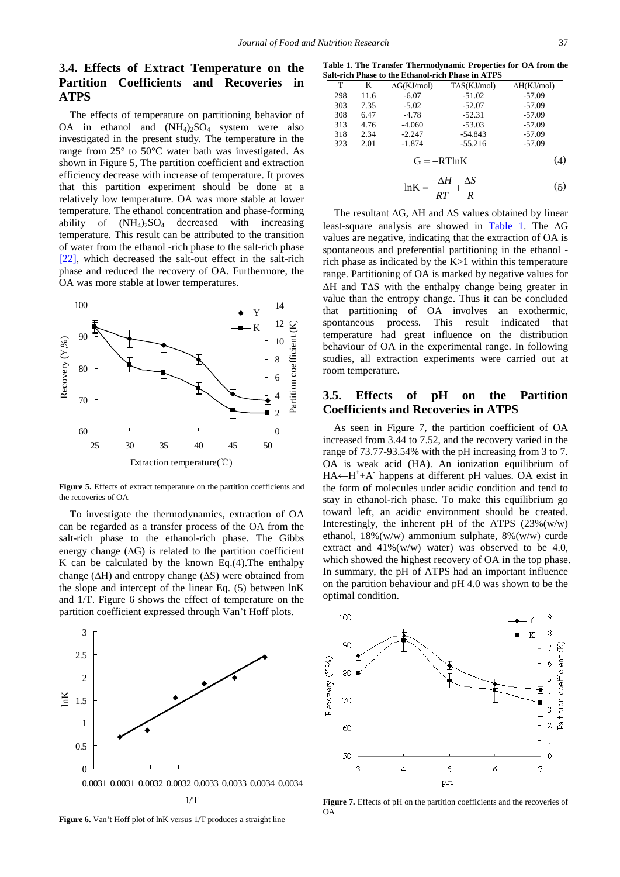## **3.4. Effects of Extract Temperature on the Partition Coefficients and Recoveries in ATPS**

The effects of temperature on partitioning behavior of OA in ethanol and  $(NH_4)_2SO_4$  system were also investigated in the present study. The temperature in the range from 25° to 50°C water bath was investigated. As shown in Figure 5, The partition coefficient and extraction efficiency decrease with increase of temperature. It proves that this partition experiment should be done at a relatively low temperature. OA was more stable at lower temperature. The ethanol concentration and phase-forming ability of  $(NH_4)$ ,  $SO_4$  decreased with increasing temperature. This result can be attributed to the transition of water from the ethanol -rich phase to the salt-rich phase [\[22\],](#page-5-2) which decreased the salt-out effect in the salt-rich phase and reduced the recovery of OA. Furthermore, the OA was more stable at lower temperatures.



Figure 5. Effects of extract temperature on the partition coefficients and the recoveries of OA

To investigate the thermodynamics, extraction of OA can be regarded as a transfer process of the OA from the salt-rich phase to the ethanol-rich phase. The Gibbs energy change  $(ΔG)$  is related to the partition coefficient K can be calculated by the known Eq. $(4)$ . The enthalpy change (∆H) and entropy change (∆S) were obtained from the slope and intercept of the linear Eq. (5) between lnK and 1/T. Figure 6 shows the effect of temperature on the partition coefficient expressed through Van't Hoff plots.



**Figure 6.** Van't Hoff plot of lnK versus 1/T produces a straight line

**Table 1. The Transfer Thermodynamic Properties for OA from the Salt-rich Phase to the Ethanol-rich Phase in ATPS**

<span id="page-3-0"></span>

| T   | K    | $\Delta G(KJ/mol)$       | $T\Delta S(KJ/mol)$ | $\Delta H(KJ/mol)$ |
|-----|------|--------------------------|---------------------|--------------------|
| 298 | 11.6 | $-6.07$                  | $-51.02$            | $-57.09$           |
| 303 | 7.35 | $-5.02$                  | $-52.07$            | $-57.09$           |
| 308 | 6.47 | $-4.78$                  | $-52.31$            | $-57.09$           |
| 313 | 4.76 | $-4.060$                 | $-53.03$            | $-57.09$           |
| 318 | 2.34 | $-2.247$                 | $-54.843$           | $-57.09$           |
| 323 | 2.01 | $-1.874$                 | $-55.216$           | $-57.09$           |
|     |      | $\overline{\phantom{0}}$ | D. 1711 T. T.       | (1)                |

$$
G = -RTlnK \tag{4}
$$

$$
lnK = \frac{-\Delta H}{RT} + \frac{\Delta S}{R}
$$
 (5)

The resultant ∆G, ∆H and ∆S values obtained by linear least-square analysis are showed in [Table 1.](#page-3-0) The ∆G values are negative, indicating that the extraction of OA is spontaneous and preferential partitioning in the ethanol rich phase as indicated by the K>1 within this temperature range. Partitioning of OA is marked by negative values for ∆H and T∆S with the enthalpy change being greater in value than the entropy change. Thus it can be concluded that partitioning of OA involves an exothermic, spontaneous process. This result indicated that temperature had great influence on the distribution behaviour of OA in the experimental range. In following studies, all extraction experiments were carried out at room temperature.

#### **3.5. Effects of pH on the Partition Coefficients and Recoveries in ATPS**

As seen in Figure 7, the partition coefficient of OA increased from 3.44 to 7.52, and the recovery varied in the range of 73.77-93.54% with the pH increasing from 3 to 7. OA is weak acid (HA). An ionization equilibrium of HA←H<sup>+</sup>+A<sup>-</sup> happens at different pH values. OA exist in the form of molecules under acidic condition and tend to stay in ethanol-rich phase. To make this equilibrium go toward left, an acidic environment should be created. Interestingly, the inherent pH of the ATPS  $(23\%(w/w))$ ethanol, 18%(w/w) ammonium sulphate, 8%(w/w) curde extract and  $41\%(w/w)$  water) was observed to be 4.0, which showed the highest recovery of OA in the top phase. In summary, the pH of ATPS had an important influence on the partition behaviour and pH 4.0 was shown to be the optimal condition.



Figure 7. Effects of pH on the partition coefficients and the recoveries of OA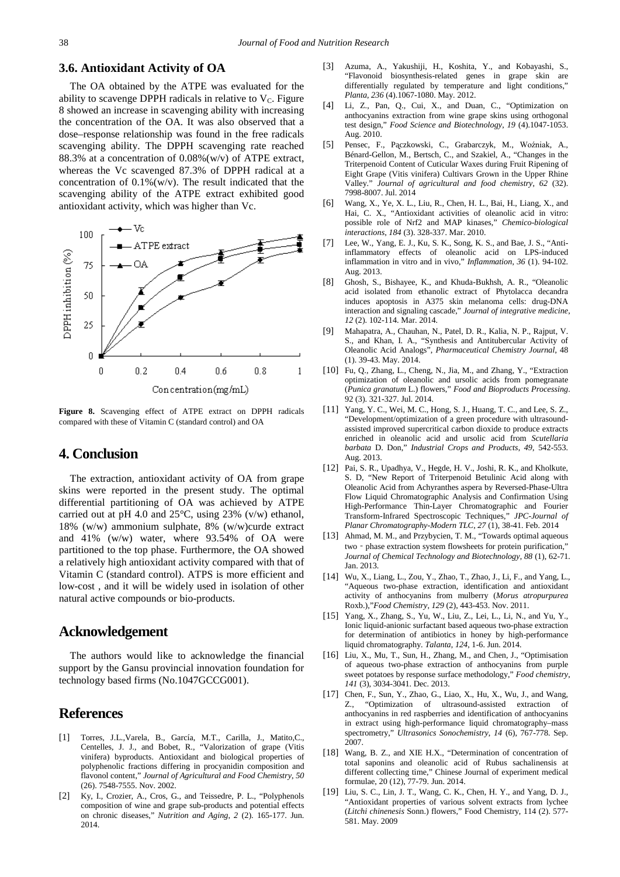#### **3.6. Antioxidant Activity of OA**

The OA obtained by the ATPE was evaluated for the ability to scavenge DPPH radicals in relative to  $V<sub>C</sub>$ . Figure 8 showed an increase in scavenging ability with increasing the concentration of the OA. It was also observed that a dose–response relationship was found in the free radicals scavenging ability. The DPPH scavenging rate reached 88.3% at a concentration of 0.08%(w/v) of ATPE extract, whereas the Vc scavenged 87.3% of DPPH radical at a concentration of  $0.1\%$ (w/v). The result indicated that the scavenging ability of the ATPE extract exhibited good antioxidant activity, which was higher than Vc.



**Figure 8.** Scavenging effect of ATPE extract on DPPH radicals compared with these of Vitamin C (standard control) and OA

## **4. Conclusion**

The extraction, antioxidant activity of OA from grape skins were reported in the present study. The optimal differential partitioning of OA was achieved by ATPE carried out at pH 4.0 and  $25^{\circ}$ C, using 23% (v/w) ethanol, 18% (w/w) ammonium sulphate, 8% (w/w)curde extract and 41% (w/w) water, where 93.54% of OA were partitioned to the top phase. Furthermore, the OA showed a relatively high antioxidant activity compared with that of Vitamin C (standard control). ATPS is more efficient and low-cost , and it will be widely used in isolation of other natural active compounds or bio-products.

### **Acknowledgement**

The authors would like to acknowledge the financial support by the Gansu provincial innovation foundation for technology based firms (No.1047GCCG001).

## **References**

- <span id="page-4-0"></span>[1] Torres, J.L.,Varela, B., García, M.T., Carilla, J., Matito,C., Centelles, J. J., and Bobet, R., "Valorization of grape (Vitis vinifera) byproducts. Antioxidant and biological properties of polyphenolic fractions differing in procyanidin composition and flavonol content," *Journal of Agricultural and Food Chemistry*, *50* (26). 7548-7555. Nov. 2002.
- <span id="page-4-1"></span>[2] Ky, I., Crozier, A., Cros, G., and Teissedre, P. L., "Polyphenols composition of wine and grape sub-products and potential effects on chronic diseases," *Nutrition and Aging*, *2* (2). 165-177. Jun. 2014.
- [3] Azuma, A., Yakushiji, H., Koshita, Y., and Kobayashi, S., "Flavonoid biosynthesis-related genes in grape skin are differentially regulated by temperature and light conditions," *Planta*, *236* (4).1067-1080. May. 2012.
- [4] Li, Z., Pan, Q., Cui, X., and Duan, C., "Optimization on anthocyanins extraction from wine grape skins using orthogonal test design," *Food Science and Biotechnology*, *19* (4).1047-1053. Aug. 2010.
- <span id="page-4-2"></span>[5] Pensec, F., Pączkowski, C., Grabarczyk, M., Woźniak, A., Bénard-Gellon, M., Bertsch, C., and Szakiel, A., "Changes in the Triterpenoid Content of Cuticular Waxes during Fruit Ripening of Eight Grape (Vitis vinifera) Cultivars Grown in the Upper Rhine Valley." *Journal of agricultural and food chemistry*, *62* (32). 7998-8007. Jul. 2014
- <span id="page-4-3"></span>[6] Wang, X., Ye, X. L., Liu, R., Chen, H. L., Bai, H., Liang, X., and Hai, C. X., "Antioxidant activities of oleanolic acid in vitro: possible role of Nrf2 and MAP kinases," *Chemico-biological interactions*, *184* (3). 328-337. Mar. 2010.
- <span id="page-4-4"></span>[7] Lee, W., Yang, E. J., Ku, S. K., Song, K. S., and Bae, J. S., "Antiinflammatory effects of oleanolic acid on LPS-induced inflammation in vitro and in vivo," *Inflammation*, *36* (1). 94-102. Aug. 2013.
- <span id="page-4-5"></span>[8] Ghosh, S., Bishayee, K., and Khuda-Bukhsh, A. R., "Oleanolic acid isolated from ethanolic extract of Phytolacca decandra induces apoptosis in A375 skin melanoma cells: drug-DNA interaction and signaling cascade," *Journal of integrative medicine*, *12* (2). 102-114. Mar. 2014.
- <span id="page-4-6"></span>[9] Mahapatra, A., Chauhan, N., Patel, D. R., Kalia, N. P., Rajput, V. S., and Khan, I. A., "Synthesis and Antitubercular Activity of Oleanolic Acid Analogs", *Pharmaceutical Chemistry Journal*, 48 (1). 39-43. May. 2014.
- <span id="page-4-7"></span>[10] Fu, Q., Zhang, L., Cheng, N., Jia, M., and Zhang, Y., "Extraction optimization of oleanolic and ursolic acids from pomegranate (*Punica granatum* L.) flowers," *Food and Bioproducts Processing*. 92 (3). 321-327. Jul. 2014.
- <span id="page-4-8"></span>[11] Yang, Y. C., Wei, M. C., Hong, S. J., Huang, T. C., and Lee, S. Z., "Development/optimization of a green procedure with ultrasoundassisted improved supercritical carbon dioxide to produce extracts enriched in oleanolic acid and ursolic acid from *Scutellaria barbata* D. Don," *Industrial Crops and Products*, *49*, 542-553. Aug. 2013.
- <span id="page-4-9"></span>[12] Pai, S. R., Upadhya, V., Hegde, H. V., Joshi, R. K., and Kholkute, S. D, "New Report of Triterpenoid Betulinic Acid along with Oleanolic Acid from Achyranthes aspera by Reversed-Phase-Ultra Flow Liquid Chromatographic Analysis and Confirmation Using High-Performance Thin-Layer Chromatographic and Fourier Transform-Infrared Spectroscopic Techniques," *JPC-Journal of Planar Chromatography-Modern TLC*, *27* (1), 38-41. Feb. 2014
- <span id="page-4-10"></span>[13] Ahmad, M. M., and Przybycien, T. M., "Towards optimal aqueous two - phase extraction system flowsheets for protein purification," *Journal of Chemical Technology and Biotechnology*, *88* (1), 62-71. Jan. 2013.
- [14] Wu, X., Liang, L., Zou, Y., Zhao, T., Zhao, J., Li, F., and Yang, L., "Aqueous two-phase extraction, identification and antioxidant activity of anthocyanins from mulberry (*Morus atropurpurea* Roxb.),"*Food Chemistry*, *129* (2), 443-453. Nov. 2011.
- [15] Yang, X., Zhang, S., Yu, W., Liu, Z., Lei, L., Li, N., and Yu, Y., Ionic liquid-anionic surfactant based aqueous two-phase extraction for determination of antibiotics in honey by high-performance liquid chromatography. *Talanta*, *124*, 1-6. Jun. 2014.
- <span id="page-4-11"></span>[16] Liu, X., Mu, T., Sun, H., Zhang, M., and Chen, J., "Optimisation of aqueous two-phase extraction of anthocyanins from purple sweet potatoes by response surface methodology," *Food chemistry*, *141* (3), 3034-3041. Dec. 2013.
- <span id="page-4-12"></span>[17] Chen, F., Sun, Y., Zhao, G., Liao, X., Hu, X., Wu, J., and Wang, "Optimization of ultrasound-assisted extraction of anthocyanins in red raspberries and identification of anthocyanins in extract using high-performance liquid chromatography–mass spectrometry," *Ultrasonics Sonochemistry*, *14* (6), 767-778. Sep. 2007.
- <span id="page-4-13"></span>[18] Wang, B. Z., and XIE H.X., "Determination of concentration of total saponins and oleanolic acid of Rubus sachalinensis at different collecting time," Chinese Journal of experiment medical formulae, 20 (12), 77-79. Jun. 2014.
- <span id="page-4-14"></span>[19] Liu, S. C., Lin, J. T., Wang, C. K., Chen, H. Y., and Yang, D. J., "Antioxidant properties of various solvent extracts from lychee (*Litchi chinenesis* Sonn.) flowers," Food Chemistry, 114 (2). 577- 581. May. 2009